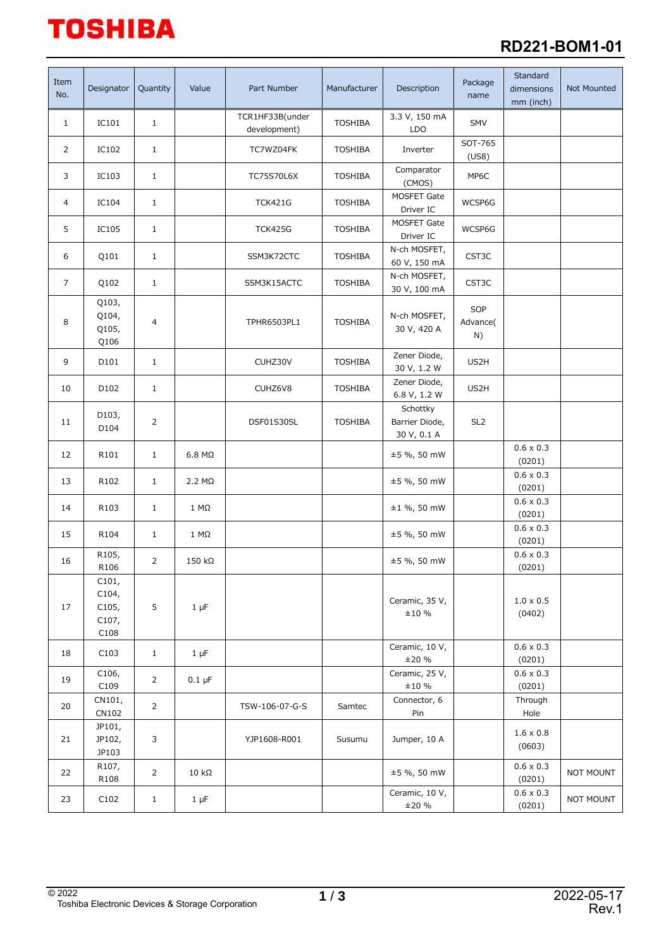# **TOSHIBA**

## **RD221-BOM1-01**

| Item<br>No.    | Designator                               | Quantity       | Value         | Part Number                     | Manufacturer   | Description                               | Package<br>name       | Standard<br>dimensions<br>mm (inch) | Not Mounted |
|----------------|------------------------------------------|----------------|---------------|---------------------------------|----------------|-------------------------------------------|-----------------------|-------------------------------------|-------------|
| $\mathbf{1}$   | IC101                                    | $1\,$          |               | TCR1HF33B(under<br>development) | <b>TOSHIBA</b> | 3.3 V, 150 mA<br><b>LDO</b>               | <b>SMV</b>            |                                     |             |
| 2              | IC102                                    | $\mathbf{1}$   |               | TC7WZ04FK                       | <b>TOSHIBA</b> | Inverter                                  | SOT-765<br>(US8)      |                                     |             |
| 3              | IC103                                    | $\mathbf{1}$   |               | <b>TC75S70L6X</b>               | <b>TOSHIBA</b> | Comparator<br>(CMOS)                      | MP6C                  |                                     |             |
| 4              | IC104                                    | $\mathbf{1}$   |               | <b>TCK421G</b>                  | <b>TOSHIBA</b> | MOSFET Gate<br>Driver IC                  | WCSP6G                |                                     |             |
| 5              | IC105                                    | $\mathbf{1}$   |               | <b>TCK425G</b>                  | <b>TOSHIBA</b> | MOSFET Gate<br>Driver IC                  | WCSP6G                |                                     |             |
| 6              | Q101                                     | $\mathbf{1}$   |               | SSM3K72CTC                      | <b>TOSHIBA</b> | N-ch MOSFET,<br>60 V, 150 mA              | CST3C                 |                                     |             |
| $\overline{7}$ | Q102                                     | $\mathbf{1}$   |               | SSM3K15ACTC                     | <b>TOSHIBA</b> | N-ch MOSFET,<br>30 V, 100 mA              | CST3C                 |                                     |             |
| 8              | Q103,<br>Q104,<br>Q105,<br>Q106          | 4              |               | TPHR6503PL1                     | <b>TOSHIBA</b> | N-ch MOSFET,<br>30 V, 420 A               | SOP<br>Advance(<br>N) |                                     |             |
| 9              | D <sub>101</sub>                         | $\mathbf{1}$   |               | CUHZ30V                         | <b>TOSHIBA</b> | Zener Diode,<br>30 V, 1.2 W               | US2H                  |                                     |             |
| 10             | D102                                     | $\mathbf{1}$   |               | CUHZ6V8                         | <b>TOSHIBA</b> | Zener Diode,<br>6.8 V, 1.2 W              | US2H                  |                                     |             |
| 11             | D103,<br>D104                            | 2              |               | DSF01S30SL                      | <b>TOSHIBA</b> | Schottky<br>Barrier Diode,<br>30 V, 0.1 A | SL <sub>2</sub>       |                                     |             |
| 12             | R101                                     | $\mathbf{1}$   | $6.8 M\Omega$ |                                 |                | $±5$ %, 50 mW                             |                       | $0.6 \times 0.3$<br>(0201)          |             |
| 13             | R102                                     | $\mathbf{1}$   | $2.2 M\Omega$ |                                 |                | ±5 %, 50 mW                               |                       | $0.6 \times 0.3$<br>(0201)          |             |
| 14             | R103                                     | $\mathbf{1}$   | $1 M\Omega$   |                                 |                | $±1$ %, 50 mW                             |                       | $0.6 \times 0.3$<br>(0201)          |             |
| 15             | R104                                     | $\mathbf{1}$   | $1 M\Omega$   |                                 |                | ±5 %, 50 mW                               |                       | $0.6 \times 0.3$<br>(0201)          |             |
| 16             | R105,<br>R106                            | 2              | 150 kΩ        |                                 |                | ±5 %, 50 mW                               |                       | $0.6 \times 0.3$<br>(0201)          |             |
| 17             | C101,<br>C104,<br>C105,<br>C107,<br>C108 | 5              | $1 \mu F$     |                                 |                | Ceramic, 35 V,<br>±10%                    |                       | $1.0\times0.5$<br>(0402)            |             |
| 18             | C103                                     | $\mathbf{1}$   | $1 \mu F$     |                                 |                | Ceramic, 10 V,<br>±20%                    |                       | $0.6 \times 0.3$<br>(0201)          |             |
| 19             | C106,<br>C109                            | $\overline{2}$ | $0.1 \mu F$   |                                 |                | Ceramic, 25 V,<br>±10%                    |                       | $0.6 \times 0.3$<br>(0201)          |             |
| 20             | CN101,<br>CN102                          | $\overline{2}$ |               | TSW-106-07-G-S                  | Samtec         | Connector, 6<br>Pin                       |                       | Through<br>Hole                     |             |
| 21             | JP101,<br>JP102,<br>JP103                | 3              |               | YJP1608-R001                    | Susumu         | Jumper, 10 A                              |                       | $1.6 \times 0.8$<br>(0603)          |             |
| 22             | R107,<br>R108                            | $\overline{2}$ | $10 k\Omega$  |                                 |                | ±5 %, 50 mW                               |                       | $0.6 \times 0.3$<br>(0201)          | NOT MOUNT   |
| 23             | C102                                     | $\mathbf{1}$   | $1 \mu F$     |                                 |                | Ceramic, 10 V,<br>±20%                    |                       | $0.6 \times 0.3$<br>(0201)          | NOT MOUNT   |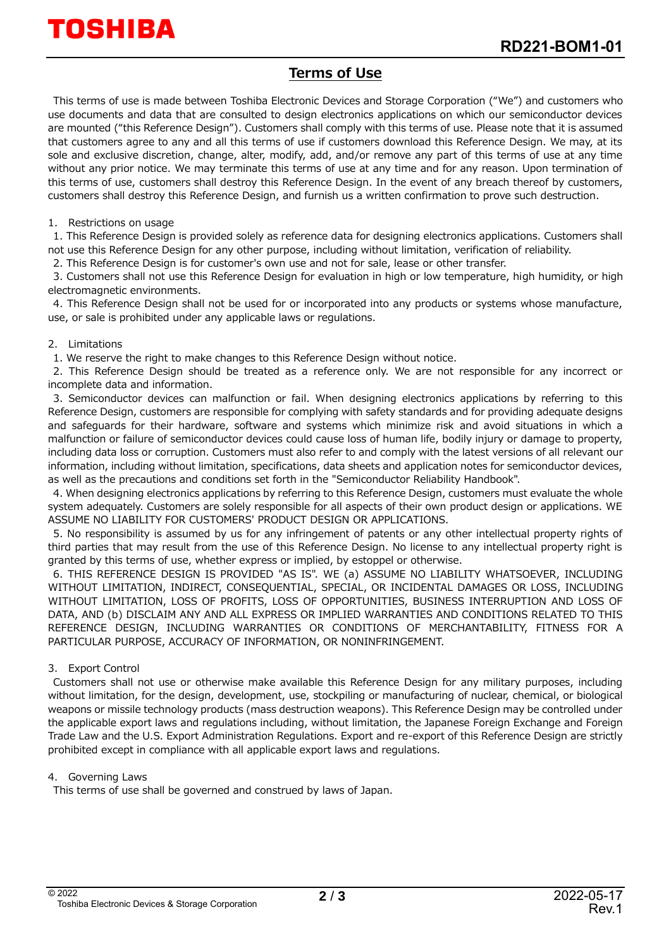## **Terms of Use**

This terms of use is made between Toshiba Electronic Devices and Storage Corporation ("We") and customers who use documents and data that are consulted to design electronics applications on which our semiconductor devices are mounted ("this Reference Design"). Customers shall comply with this terms of use. Please note that it is assumed that customers agree to any and all this terms of use if customers download this Reference Design. We may, at its sole and exclusive discretion, change, alter, modify, add, and/or remove any part of this terms of use at any time without any prior notice. We may terminate this terms of use at any time and for any reason. Upon termination of this terms of use, customers shall destroy this Reference Design. In the event of any breach thereof by customers, customers shall destroy this Reference Design, and furnish us a written confirmation to prove such destruction.

#### 1. Restrictions on usage

1. This Reference Design is provided solely as reference data for designing electronics applications. Customers shall not use this Reference Design for any other purpose, including without limitation, verification of reliability.

2. This Reference Design is for customer's own use and not for sale, lease or other transfer.

3. Customers shall not use this Reference Design for evaluation in high or low temperature, high humidity, or high electromagnetic environments.

4. This Reference Design shall not be used for or incorporated into any products or systems whose manufacture, use, or sale is prohibited under any applicable laws or regulations.

#### 2. Limitations

1. We reserve the right to make changes to this Reference Design without notice.

2. This Reference Design should be treated as a reference only. We are not responsible for any incorrect or incomplete data and information.

3. Semiconductor devices can malfunction or fail. When designing electronics applications by referring to this Reference Design, customers are responsible for complying with safety standards and for providing adequate designs and safeguards for their hardware, software and systems which minimize risk and avoid situations in which a malfunction or failure of semiconductor devices could cause loss of human life, bodily injury or damage to property, including data loss or corruption. Customers must also refer to and comply with the latest versions of all relevant our information, including without limitation, specifications, data sheets and application notes for semiconductor devices, as well as the precautions and conditions set forth in the "Semiconductor Reliability Handbook".

4. When designing electronics applications by referring to this Reference Design, customers must evaluate the whole system adequately. Customers are solely responsible for all aspects of their own product design or applications. WE ASSUME NO LIABILITY FOR CUSTOMERS' PRODUCT DESIGN OR APPLICATIONS.

5. No responsibility is assumed by us for any infringement of patents or any other intellectual property rights of third parties that may result from the use of this Reference Design. No license to any intellectual property right is granted by this terms of use, whether express or implied, by estoppel or otherwise.

6. THIS REFERENCE DESIGN IS PROVIDED "AS IS". WE (a) ASSUME NO LIABILITY WHATSOEVER, INCLUDING WITHOUT LIMITATION, INDIRECT, CONSEQUENTIAL, SPECIAL, OR INCIDENTAL DAMAGES OR LOSS, INCLUDING WITHOUT LIMITATION, LOSS OF PROFITS, LOSS OF OPPORTUNITIES, BUSINESS INTERRUPTION AND LOSS OF DATA, AND (b) DISCLAIM ANY AND ALL EXPRESS OR IMPLIED WARRANTIES AND CONDITIONS RELATED TO THIS REFERENCE DESIGN, INCLUDING WARRANTIES OR CONDITIONS OF MERCHANTABILITY, FITNESS FOR A PARTICULAR PURPOSE, ACCURACY OF INFORMATION, OR NONINFRINGEMENT.

#### 3. Export Control

Customers shall not use or otherwise make available this Reference Design for any military purposes, including without limitation, for the design, development, use, stockpiling or manufacturing of nuclear, chemical, or biological weapons or missile technology products (mass destruction weapons). This Reference Design may be controlled under the applicable export laws and regulations including, without limitation, the Japanese Foreign Exchange and Foreign Trade Law and the U.S. Export Administration Regulations. Export and re-export of this Reference Design are strictly prohibited except in compliance with all applicable export laws and regulations.

#### 4. Governing Laws

This terms of use shall be governed and construed by laws of Japan.